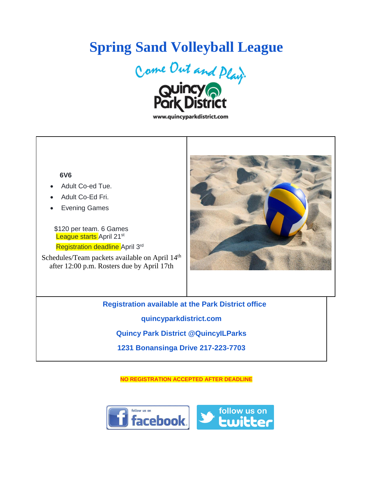## **Spring Sand Volleyball League**



www.quincyparkdistrict.com

## **6V6**

- Adult Co-ed Tue.
- Adult Co-Ed Fri.
- **Evening Games**

 \$120 per team. 6 Games League starts April 21<sup>st</sup>

Registration deadline April 3<sup>rd</sup>

Schedules/Team packets available on April 14<sup>th</sup> after 12:00 p.m. Rosters due by April 17th



**Registration available at the Park District office quincyparkdistrict.com Quincy Park District @QuincyILParks 1231 Bonansinga Drive 217-223-7703**

**NO REGISTRATION ACCEPTED AFTER DEADLINE**